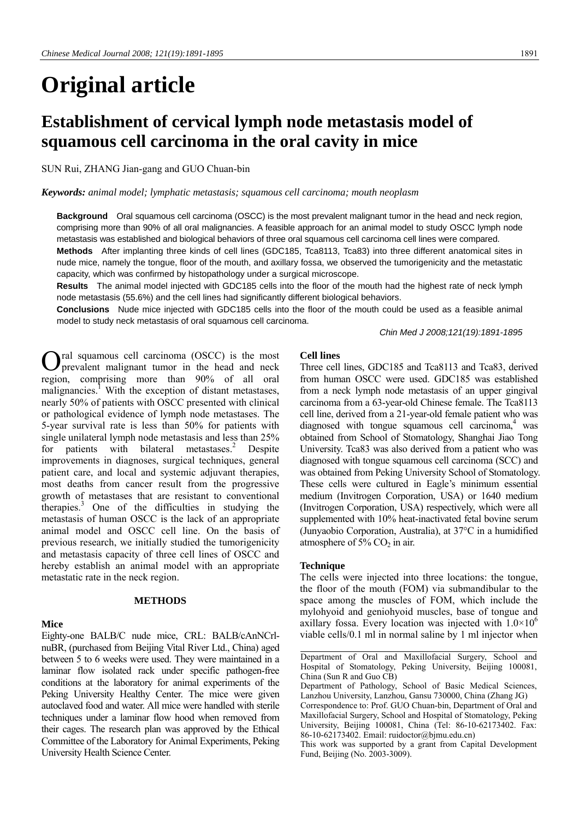# **Original article**

# **Establishment of cervical lymph node metastasis model of squamous cell carcinoma in the oral cavity in mice**

SUN Rui, ZHANG Jian-gang and GUO Chuan-bin

#### *Keywords: animal model; lymphatic metastasis; squamous cell carcinoma; mouth neoplasm*

**Background** Oral squamous cell carcinoma (OSCC) is the most prevalent malignant tumor in the head and neck region, comprising more than 90% of all oral malignancies. A feasible approach for an animal model to study OSCC lymph node metastasis was established and biological behaviors of three oral squamous cell carcinoma cell lines were compared.

**Methods** After implanting three kinds of cell lines (GDC185, Tca8113, Tca83) into three different anatomical sites in nude mice, namely the tongue, floor of the mouth, and axillary fossa, we observed the tumorigenicity and the metastatic capacity, which was confirmed by histopathology under a surgical microscope.

**Results** The animal model injected with GDC185 cells into the floor of the mouth had the highest rate of neck lymph node metastasis (55.6%) and the cell lines had significantly different biological behaviors.

**Conclusions** Nude mice injected with GDC185 cells into the floor of the mouth could be used as a feasible animal model to study neck metastasis of oral squamous cell carcinoma.

*Chin Med J 2008;121(19):1891-1895*

ral squamous cell carcinoma (OSCC) is the most prevalent malignant tumor in the head and neck O region, comprising more than 90% of all oral malignancies.<sup>1</sup> With the exception of distant metastases, nearly 50% of patients with OSCC presented with clinical or pathological evidence of lymph node metastases. The 5-year survival rate is less than 50% for patients with single unilateral lymph node metastasis and less than 25% for patients with bilateral metastases.<sup>2</sup> Despite improvements in diagnoses, surgical techniques, general patient care, and local and systemic adjuvant therapies, most deaths from cancer result from the progressive growth of metastases that are resistant to conventional therapies.<sup>3</sup> One of the difficulties in studying the metastasis of human OSCC is the lack of an appropriate animal model and OSCC cell line. On the basis of previous research, we initially studied the tumorigenicity and metastasis capacity of three cell lines of OSCC and hereby establish an animal model with an appropriate metastatic rate in the neck region.

### **METHODS**

#### **Mice**

Eighty-one BALB/C nude mice, CRL: BALB/cAnNCrlnuBR, (purchased from Beijing Vital River Ltd., China) aged between 5 to 6 weeks were used. They were maintained in a laminar flow isolated rack under specific pathogen-free conditions at the laboratory for animal experiments of the Peking University Healthy Center. The mice were given autoclaved food and water. All mice were handled with sterile techniques under a laminar flow hood when removed from their cages. The research plan was approved by the Ethical Committee of the Laboratory for Animal Experiments, Peking University Health Science Center.

# **Cell lines**

Three cell lines, GDC185 and Tca8113 and Tca83, derived from human OSCC were used. GDC185 was established from a neck lymph node metastasis of an upper gingival carcinoma from a 63-year-old Chinese female. The Tca8113 cell line, derived from a 21-year-old female patient who was diagnosed with tongue squamous cell carcinoma, $4$  was obtained from School of Stomatology, Shanghai Jiao Tong University. Tca83 was also derived from a patient who was diagnosed with tongue squamous cell carcinoma (SCC) and was obtained from Peking University School of Stomatology. These cells were cultured in Eagle's minimum essential medium (Invitrogen Corporation, USA) or 1640 medium (Invitrogen Corporation, USA) respectively, which were all supplemented with 10% heat-inactivated fetal bovine serum (Junyaobio Corporation, Australia), at 37°C in a humidified atmosphere of  $5\%$  CO<sub>2</sub> in air.

#### **Technique**

The cells were injected into three locations: the tongue, the floor of the mouth (FOM) via submandibular to the space among the muscles of FOM, which include the mylohyoid and geniohyoid muscles, base of tongue and axillary fossa. Every location was injected with  $1.0 \times 10^6$ viable cells/0.1 ml in normal saline by 1 ml injector when

Department of Oral and Maxillofacial Surgery, School and Hospital of Stomatology, Peking University, Beijing 100081, China (Sun R and Guo CB)

Department of Pathology, School of Basic Medical Sciences, Lanzhou University, Lanzhou, Gansu 730000, China (Zhang JG)

Correspondence to: Prof. GUO Chuan-bin, Department of Oral and Maxillofacial Surgery, School and Hospital of Stomatology, Peking University, Beijing 100081, China (Tel: 86-10-62173402. Fax: 86-10-62173402. Email: ruidoctor@bjmu.edu.cn)

This work was supported by a grant from Capital Development Fund, Beijing (No. 2003-3009).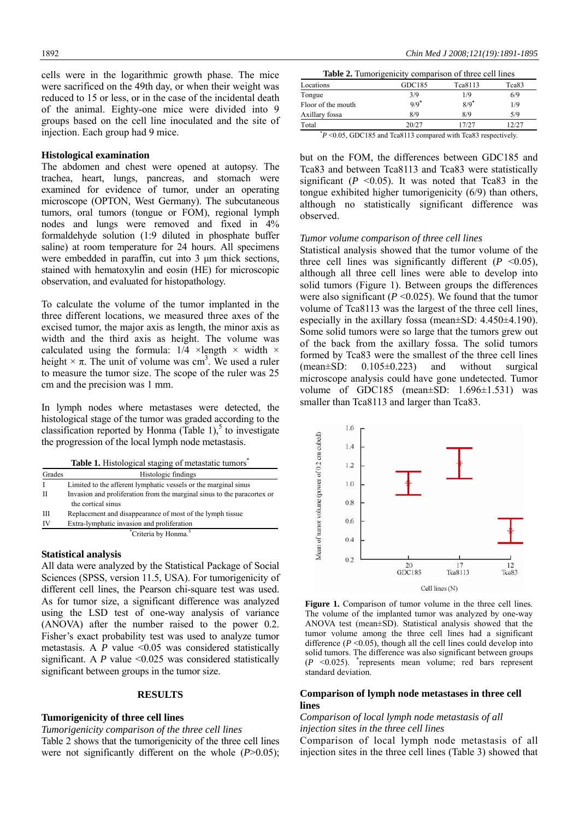cells were in the logarithmic growth phase. The mice were sacrificed on the 49th day, or when their weight was reduced to 15 or less, or in the case of the incidental death of the animal. Eighty-one mice were divided into 9 groups based on the cell line inoculated and the site of injection. Each group had 9 mice.

#### **Histological examination**

The abdomen and chest were opened at autopsy. The trachea, heart, lungs, pancreas, and stomach were examined for evidence of tumor, under an operating microscope (OPTON, West Germany). The subcutaneous tumors, oral tumors (tongue or FOM), regional lymph nodes and lungs were removed and fixed in 4% formaldehyde solution (1:9 diluted in phosphate buffer saline) at room temperature for 24 hours. All specimens were embedded in paraffin, cut into 3  $\mu$ m thick sections, stained with hematoxylin and eosin (HE) for microscopic observation, and evaluated for histopathology.

To calculate the volume of the tumor implanted in the three different locations, we measured three axes of the excised tumor, the major axis as length, the minor axis as width and the third axis as height. The volume was calculated using the formula:  $1/4 \times \text{length} \times \text{width} \times$ height  $\times \pi$ . The unit of volume was cm<sup>3</sup>. We used a ruler to measure the tumor size. The scope of the ruler was 25 cm and the precision was 1 mm.

In lymph nodes where metastases were detected, the histological stage of the tumor was graded according to the classification reported by Honma (Table 1),<sup>5</sup> to investigate the progression of the local lymph node metastasis.

|  | Table 1. Histological staging of metastatic tumors <sup>*</sup> |  |
|--|-----------------------------------------------------------------|--|
|  |                                                                 |  |

| Grades | Histologic findings                                                                           |
|--------|-----------------------------------------------------------------------------------------------|
| I      | Limited to the afferent lymphatic vessels or the marginal sinus                               |
| H      | Invasion and proliferation from the marginal sinus to the paracortex or<br>the cortical sinus |
| Ш      | Replacement and disappearance of most of the lymph tissue                                     |
| IV     | Extra-lymphatic invasion and proliferation                                                    |
|        | *Criteria by Honma. <sup>5</sup>                                                              |

#### **Statistical analysis**

All data were analyzed by the Statistical Package of Social Sciences (SPSS, version 11.5, USA). For tumorigenicity of different cell lines, the Pearson chi-square test was used. As for tumor size, a significant difference was analyzed using the LSD test of one-way analysis of variance (ANOVA) after the number raised to the power 0.2. Fisher's exact probability test was used to analyze tumor metastasis. A *P* value <0.05 was considered statistically significant. A *P* value <0.025 was considered statistically significant between groups in the tumor size.

# **RESULTS**

# **Tumorigenicity of three cell lines**

*Tumorigenicity comparison of the three cell lines* 

Table 2 shows that the tumorigenicity of the three cell lines were not significantly different on the whole (*P*>0.05);

| <b>Table 2.</b> Tumorigenicity comparison of three cell lines |                    |                    |       |  |
|---------------------------------------------------------------|--------------------|--------------------|-------|--|
| Locations                                                     | GDC185             | Tca8113            | Tca83 |  |
| Tongue                                                        | 3/9                | 1/9                | 6/9   |  |
| Floor of the mouth                                            | $9/9$ <sup>*</sup> | $8/9$ <sup>*</sup> | 1/9   |  |
| Axillary fossa                                                | 8/9                | 8/9                | 5/9   |  |
| Total                                                         | 20/27              | 17/27              | 12/27 |  |
| $\star$                                                       |                    |                    |       |  |

 $p$  <0.05, GDC185 and Tca8113 compared with Tca83 respectively.

but on the FOM, the differences between GDC185 and Tca83 and between Tca8113 and Tca83 were statistically significant  $(P \le 0.05)$ . It was noted that Tca83 in the tongue exhibited higher tumorigenicity (6/9) than others, although no statistically significant difference was observed.

# *Tumor volume comparison of three cell lines*

Statistical analysis showed that the tumor volume of the three cell lines was significantly different  $(P \le 0.05)$ , although all three cell lines were able to develop into solid tumors (Figure 1). Between groups the differences were also significant ( $P \le 0.025$ ). We found that the tumor volume of Tca8113 was the largest of the three cell lines, especially in the axillary fossa (mean±SD: 4.450±4.190). Some solid tumors were so large that the tumors grew out of the back from the axillary fossa. The solid tumors formed by Tca83 were the smallest of the three cell lines (mean±SD: 0.105±0.223) and without surgical microscope analysis could have gone undetected. Tumor volume of GDC185 (mean $\pm$ SD: 1.696 $\pm$ 1.531) was smaller than Tca8113 and larger than Tca83.



**Figure 1.** Comparison of tumor volume in the three cell lines. The volume of the implanted tumor was analyzed by one-way ANOVA test (mean±SD). Statistical analysis showed that the tumor volume among the three cell lines had a significant difference  $(P \le 0.05)$ , though all the cell lines could develop into solid tumors. The difference was also significant between groups  $(P \le 0.025)$ . \*represents mean volume; red bars represent standard deviation.

# **Comparison of lymph node metastases in three cell lines**

# *Comparison of local lymph node metastasis of all injection sites in the three cell lines*

Comparison of local lymph node metastasis of all injection sites in the three cell lines (Table 3) showed that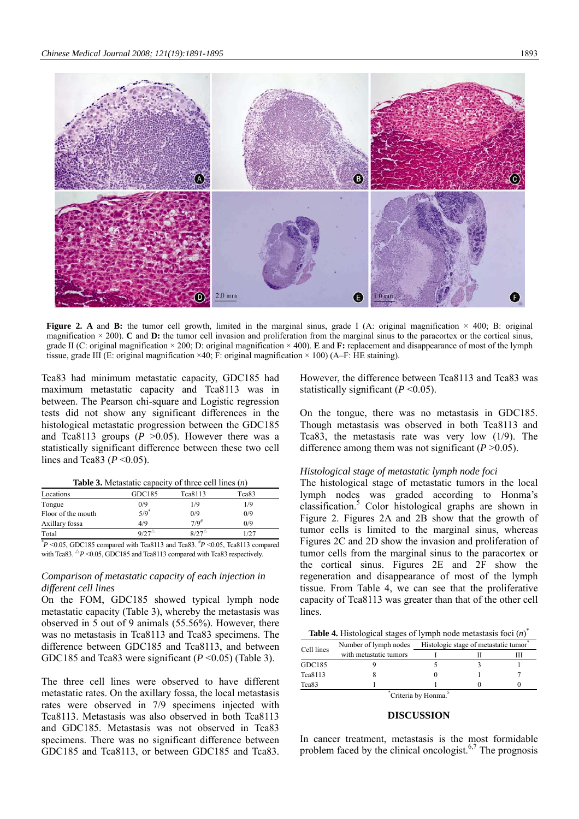

**Figure 2.** A and **B:** the tumor cell growth, limited in the marginal sinus, grade I (A: original magnification  $\times$  400; B: original magnification  $\times$  200). **C** and **D**: the tumor cell invasion and proliferation from the marginal sinus to the paracortex or the cortical sinus, grade II (C: original magnification × 200; D: original magnification × 400). **E** and **F:** replacement and disappearance of most of the lymph tissue, grade III (E: original magnification  $\times$ 40; F: original magnification  $\times$  100) (A–F: HE staining).

Tca83 had minimum metastatic capacity, GDC185 had maximum metastatic capacity and Tca8113 was in between. The Pearson chi-square and Logistic regression tests did not show any significant differences in the histological metastatic progression between the GDC185 and Tca8113 groups  $(P > 0.05)$ . However there was a statistically significant difference between these two cell lines and Tca83 (*P* <0.05).

| <b>Table 3.</b> Metastatic capacity of three cell lines $(n)$ |  |  |  |
|---------------------------------------------------------------|--|--|--|
|---------------------------------------------------------------|--|--|--|

| Locations          | GDC185         | Tca8113        | Tca83   |
|--------------------|----------------|----------------|---------|
| Tongue             | 0/9            | 1/9            | 1/9     |
| Floor of the mouth | $5/9^*$        | 0/9            | 0/9     |
| Axillary fossa     | 4/9            | $7/9^{\#}$     | 0/9     |
| Total              | $9/27^{\circ}$ | $8/27^{\circ}$ | 1/27    |
| *                  | .              | .              | - - - - |

 $*P$  <0.05, GDC185 compared with Tca8113 and Tca83.  $*P$  <0.05, Tca8113 compared with Tca83.  $\triangle P$  <0.05, GDC185 and Tca8113 compared with Tca83 respectively.

# *Comparison of metastatic capacity of each injection in different cell lines*

On the FOM, GDC185 showed typical lymph node metastatic capacity (Table 3), whereby the metastasis was observed in 5 out of 9 animals (55.56%). However, there was no metastasis in Tca8113 and Tca83 specimens. The difference between GDC185 and Tca8113, and between GDC185 and Tca83 were significant (*P* <0.05) (Table 3).

The three cell lines were observed to have different metastatic rates. On the axillary fossa, the local metastasis rates were observed in 7/9 specimens injected with Tca8113. Metastasis was also observed in both Tca8113 and GDC185. Metastasis was not observed in Tca83 specimens. There was no significant difference between GDC185 and Tca8113, or between GDC185 and Tca83.

However, the difference between Tca8113 and Tca83 was statistically significant  $(P<0.05)$ .

On the tongue, there was no metastasis in GDC185. Though metastasis was observed in both Tca8113 and Tca83, the metastasis rate was very low (1/9). The difference among them was not significant (*P* >0.05).

#### *Histological stage of metastatic lymph node foci*

The histological stage of metastatic tumors in the local lymph nodes was graded according to Honma's classification.5 Color histological graphs are shown in Figure 2. Figures 2A and 2B show that the growth of tumor cells is limited to the marginal sinus, whereas Figures 2C and 2D show the invasion and proliferation of tumor cells from the marginal sinus to the paracortex or the cortical sinus. Figures 2E and 2F show the regeneration and disappearance of most of the lymph tissue. From Table 4, we can see that the proliferative capacity of Tca8113 was greater than that of the other cell lines.

**Table 4.** Histological stages of lymph node metastasis foci (*n*) \*

| Cell lines                      | Number of lymph nodes  | Histologic stage of metastatic tumor |  |  |
|---------------------------------|------------------------|--------------------------------------|--|--|
|                                 | with metastatic tumors |                                      |  |  |
| GDC185                          |                        |                                      |  |  |
| Tca8113                         |                        |                                      |  |  |
| Tca83                           |                        |                                      |  |  |
| Criteria by Honma. <sup>5</sup> |                        |                                      |  |  |

#### **DISCUSSION**

In cancer treatment, metastasis is the most formidable problem faced by the clinical oncologist.<sup>6,7</sup> The prognosis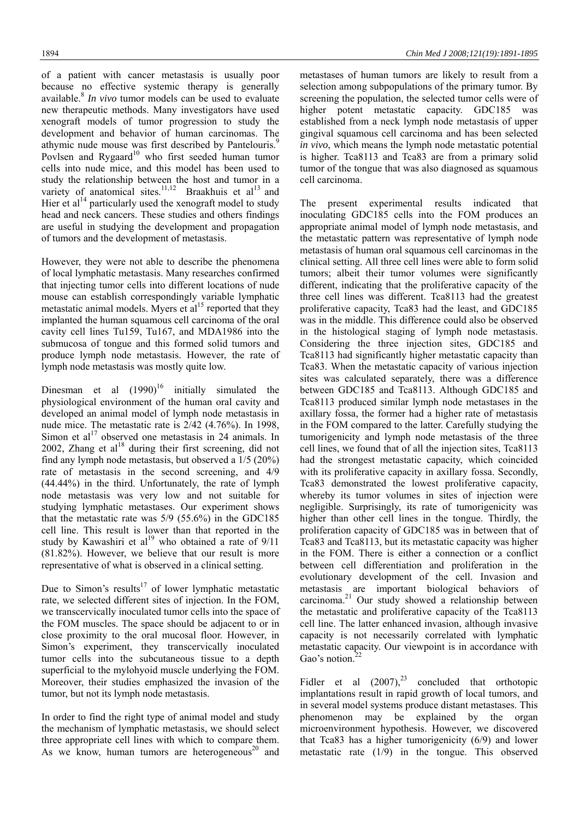of a patient with cancer metastasis is usually poor because no effective systemic therapy is generally available.8 *In vivo* tumor models can be used to evaluate new therapeutic methods. Many investigators have used xenograft models of tumor progression to study the development and behavior of human carcinomas. The athymic nude mouse was first described by Pantelouris.<sup>9</sup> Povlsen and Rygaard<sup>10</sup> who first seeded human tumor cells into nude mice, and this model has been used to study the relationship between the host and tumor in a variety of anatomical sites.<sup>11,12</sup> Braakhuis et al<sup>13</sup> and Hier et  $al<sup>14</sup>$  particularly used the xenograft model to study head and neck cancers. These studies and others findings are useful in studying the development and propagation of tumors and the development of metastasis.

However, they were not able to describe the phenomena of local lymphatic metastasis. Many researches confirmed that injecting tumor cells into different locations of nude mouse can establish correspondingly variable lymphatic metastatic animal models. Myers et al<sup>15</sup> reported that they implanted the human squamous cell carcinoma of the oral cavity cell lines Tu159, Tu167, and MDA1986 into the submucosa of tongue and this formed solid tumors and produce lymph node metastasis. However, the rate of lymph node metastasis was mostly quite low.

Dinesman et al  $(1990)^{16}$  initially simulated the physiological environment of the human oral cavity and developed an animal model of lymph node metastasis in nude mice. The metastatic rate is 2/42 (4.76%). In 1998, Simon et al<sup>17</sup> observed one metastasis in 24 animals. In 2002, Zhang et  $al<sup>18</sup>$  during their first screening, did not find any lymph node metastasis, but observed a 1/5 (20%) rate of metastasis in the second screening, and 4/9 (44.44%) in the third. Unfortunately, the rate of lymph node metastasis was very low and not suitable for studying lymphatic metastases. Our experiment shows that the metastatic rate was 5/9 (55.6%) in the GDC185 cell line. This result is lower than that reported in the study by Kawashiri et al<sup>19</sup> who obtained a rate of  $9/11$ (81.82%). However, we believe that our result is more representative of what is observed in a clinical setting.

Due to Simon's results<sup>17</sup> of lower lymphatic metastatic rate, we selected different sites of injection. In the FOM, we transcervically inoculated tumor cells into the space of the FOM muscles. The space should be adjacent to or in close proximity to the oral mucosal floor. However, in Simon's experiment, they transcervically inoculated tumor cells into the subcutaneous tissue to a depth superficial to the mylohyoid muscle underlying the FOM. Moreover, their studies emphasized the invasion of the tumor, but not its lymph node metastasis.

In order to find the right type of animal model and study the mechanism of lymphatic metastasis, we should select three appropriate cell lines with which to compare them. As we know, human tumors are heterogeneous<sup>20</sup> and

metastases of human tumors are likely to result from a selection among subpopulations of the primary tumor. By screening the population, the selected tumor cells were of higher potent metastatic capacity. GDC185 was established from a neck lymph node metastasis of upper gingival squamous cell carcinoma and has been selected *in vivo*, which means the lymph node metastatic potential is higher. Tca8113 and Tca83 are from a primary solid tumor of the tongue that was also diagnosed as squamous cell carcinoma.

The present experimental results indicated that inoculating GDC185 cells into the FOM produces an appropriate animal model of lymph node metastasis, and the metastatic pattern was representative of lymph node metastasis of human oral squamous cell carcinomas in the clinical setting. All three cell lines were able to form solid tumors; albeit their tumor volumes were significantly different, indicating that the proliferative capacity of the three cell lines was different. Tca8113 had the greatest proliferative capacity, Tca83 had the least, and GDC185 was in the middle. This difference could also be observed in the histological staging of lymph node metastasis. Considering the three injection sites, GDC185 and Tca8113 had significantly higher metastatic capacity than Tca83. When the metastatic capacity of various injection sites was calculated separately, there was a difference between GDC185 and Tca8113. Although GDC185 and Tca8113 produced similar lymph node metastases in the axillary fossa, the former had a higher rate of metastasis in the FOM compared to the latter. Carefully studying the tumorigenicity and lymph node metastasis of the three cell lines, we found that of all the injection sites, Tca8113 had the strongest metastatic capacity, which coincided with its proliferative capacity in axillary fossa. Secondly, Tca83 demonstrated the lowest proliferative capacity, whereby its tumor volumes in sites of injection were negligible. Surprisingly, its rate of tumorigenicity was higher than other cell lines in the tongue. Thirdly, the proliferation capacity of GDC185 was in between that of Tca83 and Tca8113, but its metastatic capacity was higher in the FOM. There is either a connection or a conflict between cell differentiation and proliferation in the evolutionary development of the cell. Invasion and metastasis are important biological behaviors of carcinoma.21 Our study showed a relationship between the metastatic and proliferative capacity of the Tca8113 cell line. The latter enhanced invasion, although invasive capacity is not necessarily correlated with lymphatic metastatic capacity. Our viewpoint is in accordance with Gao's notion.<sup>2</sup>

Fidler et al  $(2007)$ ,<sup>23</sup> concluded that orthotopic implantations result in rapid growth of local tumors, and in several model systems produce distant metastases. This phenomenon may be explained by the organ microenvironment hypothesis. However, we discovered that Tca83 has a higher tumorigenicity (6/9) and lower metastatic rate (1/9) in the tongue. This observed